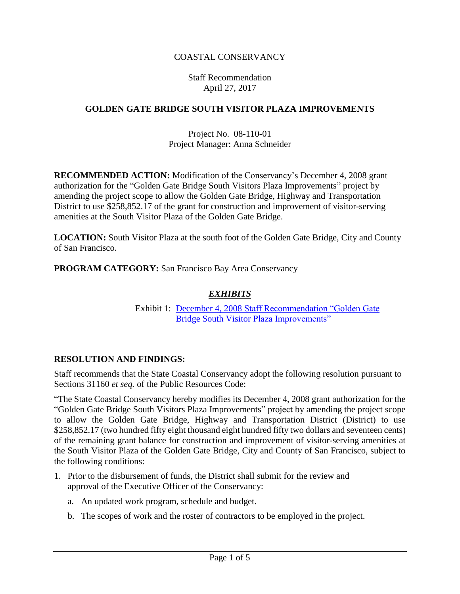## COASTAL CONSERVANCY

#### Staff Recommendation April 27, 2017

#### **GOLDEN GATE BRIDGE SOUTH VISITOR PLAZA IMPROVEMENTS**

Project No. 08-110-01 Project Manager: Anna Schneider

**RECOMMENDED ACTION:** Modification of the Conservancy's December 4, 2008 grant authorization for the "Golden Gate Bridge South Visitors Plaza Improvements" project by amending the project scope to allow the Golden Gate Bridge, Highway and Transportation District to use \$258,852.17 of the grant for construction and improvement of visitor-serving amenities at the South Visitor Plaza of the Golden Gate Bridge.

**LOCATION:** South Visitor Plaza at the south foot of the Golden Gate Bridge, City and County of San Francisco.

**PROGRAM CATEGORY:** San Francisco Bay Area Conservancy

#### *EXHIBITS*

Exhibit 1: December 4, 2008 [Staff Recommendation "Golden Gate](20170427Board03C_GG_Bridge_So_Visitor_Plaza_Improvements_Ex1.pdf)  Bridge South Visitor [Plaza Improvements"](20170427Board03C_GG_Bridge_So_Visitor_Plaza_Improvements_Ex1.pdf)

#### **RESOLUTION AND FINDINGS:**

Staff recommends that the State Coastal Conservancy adopt the following resolution pursuant to Sections 31160 *et seq.* of the Public Resources Code:

"The State Coastal Conservancy hereby modifies its December 4, 2008 grant authorization for the "Golden Gate Bridge South Visitors Plaza Improvements" project by amending the project scope to allow the Golden Gate Bridge, Highway and Transportation District (District) to use \$258,852.17 (two hundred fifty eight thousand eight hundred fifty two dollars and seventeen cents) of the remaining grant balance for construction and improvement of visitor-serving amenities at the South Visitor Plaza of the Golden Gate Bridge, City and County of San Francisco, subject to the following conditions:

- 1. Prior to the disbursement of funds, the District shall submit for the review and approval of the Executive Officer of the Conservancy:
	- a. An updated work program, schedule and budget.
	- b. The scopes of work and the roster of contractors to be employed in the project.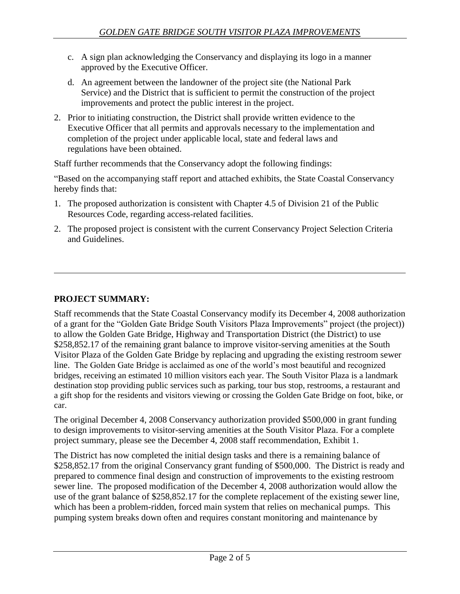- c. A sign plan acknowledging the Conservancy and displaying its logo in a manner approved by the Executive Officer.
- d. An agreement between the landowner of the project site (the National Park Service) and the District that is sufficient to permit the construction of the project improvements and protect the public interest in the project.
- 2. Prior to initiating construction, the District shall provide written evidence to the Executive Officer that all permits and approvals necessary to the implementation and completion of the project under applicable local, state and federal laws and regulations have been obtained.

Staff further recommends that the Conservancy adopt the following findings:

"Based on the accompanying staff report and attached exhibits, the State Coastal Conservancy hereby finds that:

- 1. The proposed authorization is consistent with Chapter 4.5 of Division 21 of the Public Resources Code, regarding access-related facilities.
- 2. The proposed project is consistent with the current Conservancy Project Selection Criteria and Guidelines.

# **PROJECT SUMMARY:**

Staff recommends that the State Coastal Conservancy modify its December 4, 2008 authorization of a grant for the "Golden Gate Bridge South Visitors Plaza Improvements" project (the project)) to allow the Golden Gate Bridge, Highway and Transportation District (the District) to use \$258,852.17 of the remaining grant balance to improve visitor-serving amenities at the South Visitor Plaza of the Golden Gate Bridge by replacing and upgrading the existing restroom sewer line. The Golden Gate Bridge is acclaimed as one of the world's most beautiful and recognized bridges, receiving an estimated 10 million visitors each year. The South Visitor Plaza is a landmark destination stop providing public services such as parking, tour bus stop, restrooms, a restaurant and a gift shop for the residents and visitors viewing or crossing the Golden Gate Bridge on foot, bike, or car.

The original December 4, 2008 Conservancy authorization provided \$500,000 in grant funding to design improvements to visitor-serving amenities at the South Visitor Plaza. For a complete project summary, please see the December 4, 2008 staff recommendation, Exhibit 1.

The District has now completed the initial design tasks and there is a remaining balance of \$258,852.17 from the original Conservancy grant funding of \$500,000. The District is ready and prepared to commence final design and construction of improvements to the existing restroom sewer line. The proposed modification of the December 4, 2008 authorization would allow the use of the grant balance of \$258,852.17 for the complete replacement of the existing sewer line, which has been a problem-ridden, forced main system that relies on mechanical pumps. This pumping system breaks down often and requires constant monitoring and maintenance by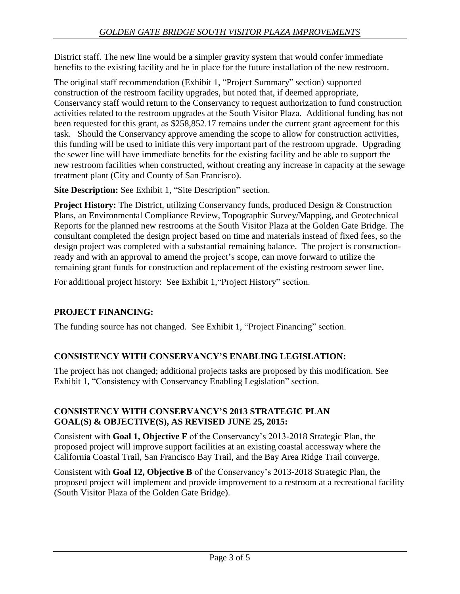District staff. The new line would be a simpler gravity system that would confer immediate benefits to the existing facility and be in place for the future installation of the new restroom.

The original staff recommendation (Exhibit 1, "Project Summary" section) supported construction of the restroom facility upgrades, but noted that, if deemed appropriate, Conservancy staff would return to the Conservancy to request authorization to fund construction activities related to the restroom upgrades at the South Visitor Plaza. Additional funding has not been requested for this grant, as \$258,852.17 remains under the current grant agreement for this task. Should the Conservancy approve amending the scope to allow for construction activities, this funding will be used to initiate this very important part of the restroom upgrade. Upgrading the sewer line will have immediate benefits for the existing facility and be able to support the new restroom facilities when constructed, without creating any increase in capacity at the sewage treatment plant (City and County of San Francisco).

**Site Description:** See Exhibit 1, "Site Description" section.

**Project History:** The District, utilizing Conservancy funds, produced Design & Construction Plans, an Environmental Compliance Review, Topographic Survey/Mapping, and Geotechnical Reports for the planned new restrooms at the South Visitor Plaza at the Golden Gate Bridge. The consultant completed the design project based on time and materials instead of fixed fees, so the design project was completed with a substantial remaining balance. The project is constructionready and with an approval to amend the project's scope, can move forward to utilize the remaining grant funds for construction and replacement of the existing restroom sewer line.

For additional project history: See Exhibit 1,"Project History" section.

# **PROJECT FINANCING:**

The funding source has not changed. See Exhibit 1, "Project Financing" section.

# **CONSISTENCY WITH CONSERVANCY'S ENABLING LEGISLATION:**

The project has not changed; additional projects tasks are proposed by this modification. See Exhibit 1, "Consistency with Conservancy Enabling Legislation" section.

## **CONSISTENCY WITH CONSERVANCY'S 2013 STRATEGIC PLAN GOAL(S) & OBJECTIVE(S), AS REVISED JUNE 25, 2015:**

Consistent with **Goal 1, Objective F** of the Conservancy's 2013-2018 Strategic Plan, the proposed project will improve support facilities at an existing coastal accessway where the California Coastal Trail, San Francisco Bay Trail, and the Bay Area Ridge Trail converge.

Consistent with **Goal 12, Objective B** of the Conservancy's 2013-2018 Strategic Plan, the proposed project will implement and provide improvement to a restroom at a recreational facility (South Visitor Plaza of the Golden Gate Bridge).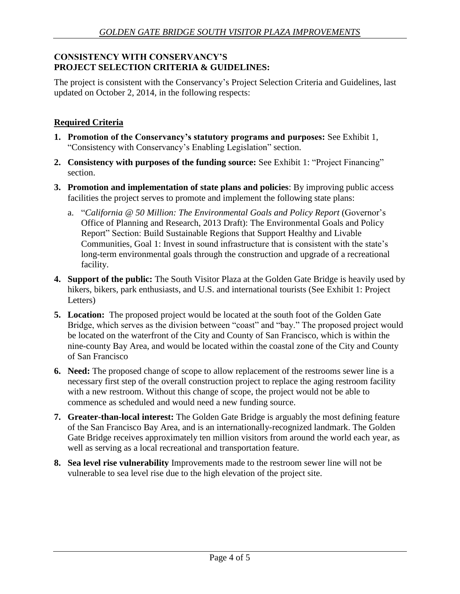### **CONSISTENCY WITH CONSERVANCY'S PROJECT SELECTION CRITERIA & GUIDELINES:**

The project is consistent with the Conservancy's Project Selection Criteria and Guidelines, last updated on October 2, 2014, in the following respects:

## **Required Criteria**

- **1. Promotion of the Conservancy's statutory programs and purposes:** See Exhibit 1, "Consistency with Conservancy's Enabling Legislation" section.
- **2. Consistency with purposes of the funding source:** See Exhibit 1: "Project Financing" section.
- **3. Promotion and implementation of state plans and policies**: By improving public access facilities the project serves to promote and implement the following state plans:
	- a. "California @ 50 Million: The Environmental Goals and Policy Report (Governor's Office of Planning and Research, 2013 Draft): The Environmental Goals and Policy Report" Section: Build Sustainable Regions that Support Healthy and Livable Communities, Goal 1: Invest in sound infrastructure that is consistent with the state's long-term environmental goals through the construction and upgrade of a recreational facility.
- **4. Support of the public:** The South Visitor Plaza at the Golden Gate Bridge is heavily used by hikers, bikers, park enthusiasts, and U.S. and international tourists (See Exhibit 1: Project Letters)
- **5. Location:** The proposed project would be located at the south foot of the Golden Gate Bridge, which serves as the division between "coast" and "bay." The proposed project would be located on the waterfront of the City and County of San Francisco, which is within the nine-county Bay Area, and would be located within the coastal zone of the City and County of San Francisco
- **6. Need:** The proposed change of scope to allow replacement of the restrooms sewer line is a necessary first step of the overall construction project to replace the aging restroom facility with a new restroom. Without this change of scope, the project would not be able to commence as scheduled and would need a new funding source.
- **7. Greater-than-local interest:** The Golden Gate Bridge is arguably the most defining feature of the San Francisco Bay Area, and is an internationally-recognized landmark. The Golden Gate Bridge receives approximately ten million visitors from around the world each year, as well as serving as a local recreational and transportation feature.
- **8. Sea level rise vulnerability** Improvements made to the restroom sewer line will not be vulnerable to sea level rise due to the high elevation of the project site.